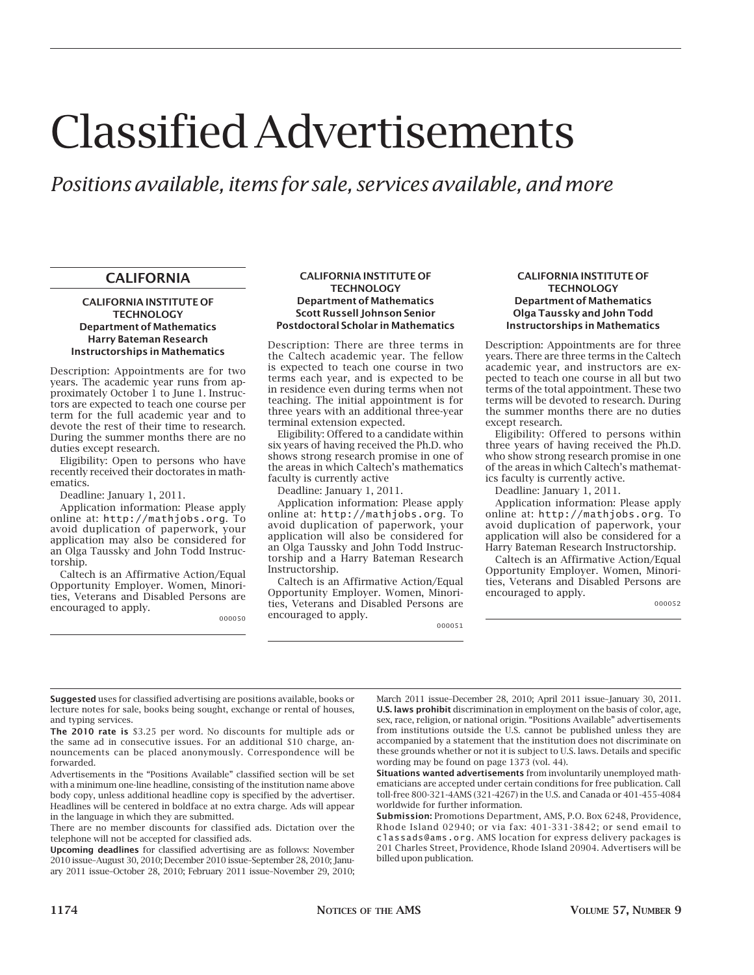# Classified Advertisements

# *Positions available, items for sale, services available, and more*

# **CALIFORNIA**

#### **CALIFORNIA INSTITUTE OF TECHNOLOGY Department of Mathematics Harry Bateman Research Instructorships in Mathematics**

Description: Appointments are for two years. The academic year runs from approximately October 1 to June 1. Instructors are expected to teach one course per term for the full academic year and to devote the rest of their time to research. During the summer months there are no duties except research.

Eligibility: Open to persons who have recently received their doctorates in mathematics.

Deadline: January 1, 2011.

Application information: Please apply online at: http://mathjobs.org. To avoid duplication of paperwork, your application may also be considered for an Olga Taussky and John Todd Instructorship.

Caltech is an Affirmative Action/Equal Opportunity Employer. Women, Minorities, Veterans and Disabled Persons are encouraged to apply.

000050

#### **CALIFORNIA INSTITUTE OF TECHNOLOGY Department of Mathematics Scott Russell Johnson Senior Postdoctoral Scholar in Mathematics**

Description: There are three terms in the Caltech academic year. The fellow is expected to teach one course in two terms each year, and is expected to be in residence even during terms when not teaching. The initial appointment is for three years with an additional three-year terminal extension expected.

Eligibility: Offered to a candidate within six years of having received the Ph.D. who shows strong research promise in one of the areas in which Caltech's mathematics faculty is currently active

Deadline: January 1, 2011.

Application information: Please apply online at: http://mathjobs.org. To avoid duplication of paperwork, your application will also be considered for an Olga Taussky and John Todd Instructorship and a Harry Bateman Research Instructorship.

Caltech is an Affirmative Action/Equal Opportunity Employer. Women, Minorities, Veterans and Disabled Persons are encouraged to apply.

000051

#### **CALIFORNIA INSTITUTE OF TECHNOLOGY Department of Mathematics Olga Taussky and John Todd Instructorships in Mathematics**

Description: Appointments are for three years. There are three terms in the Caltech academic year, and instructors are expected to teach one course in all but two terms of the total appointment. These two terms will be devoted to research. During the summer months there are no duties except research.

Eligibility: Offered to persons within three years of having received the Ph.D. who show strong research promise in one of the areas in which Caltech's mathematics faculty is currently active.

Deadline: January 1, 2011.

Application information: Please apply online at: http://mathjobs.org. To avoid duplication of paperwork, your application will also be considered for a Harry Bateman Research Instructorship.

Caltech is an Affirmative Action/Equal Opportunity Employer. Women, Minorities, Veterans and Disabled Persons are encouraged to apply.

000052

**Suggested** uses for classified advertising are positions available, books or lecture notes for sale, books being sought, exchange or rental of houses, and typing services.

**The 2010 rate is** \$3.25 per word. No discounts for multiple ads or the same ad in consecutive issues. For an additional \$10 charge, announcements can be placed anonymously. Correspondence will be forwarded.

Advertisements in the "Positions Available" classified section will be set with a minimum one-line headline, consisting of the institution name above body copy, unless additional headline copy is specified by the advertiser. Headlines will be centered in boldface at no extra charge. Ads will appear in the language in which they are submitted.

There are no member discounts for classified ads. Dictation over the telephone will not be accepted for classified ads.

**Upcoming deadlines** for classified advertising are as follows: November 2010 issue–August 30, 2010; December 2010 issue–September 28, 2010; January 2011 issue–October 28, 2010; February 2011 issue–November 29, 2010;

March 2011 issue–December 28, 2010; April 2011 issue–January 30, 2011. **U.S. laws prohibit** discrimination in employment on the basis of color, age, sex, race, religion, or national origin. "Positions Available" advertisements from institutions outside the U.S. cannot be published unless they are accompanied by a statement that the institution does not discriminate on these grounds whether or not it is subject to U.S. laws. Details and specific wording may be found on page 1373 (vol. 44).

**Situations wanted advertisements** from involuntarily unemployed mathematicians are accepted under certain conditions for free publication. Call toll-free 800-321-4AMS (321-4267) in the U.S. and Canada or 401-455-4084 worldwide for further information.

**Submission:** Promotions Department, AMS, P.O. Box 6248, Providence, Rhode Island 02940; or via fax: 401-331-3842; or send email to classads@ams.org. AMS location for express delivery packages is 201 Charles Street, Providence, Rhode Island 20904. Advertisers will be billed upon publication.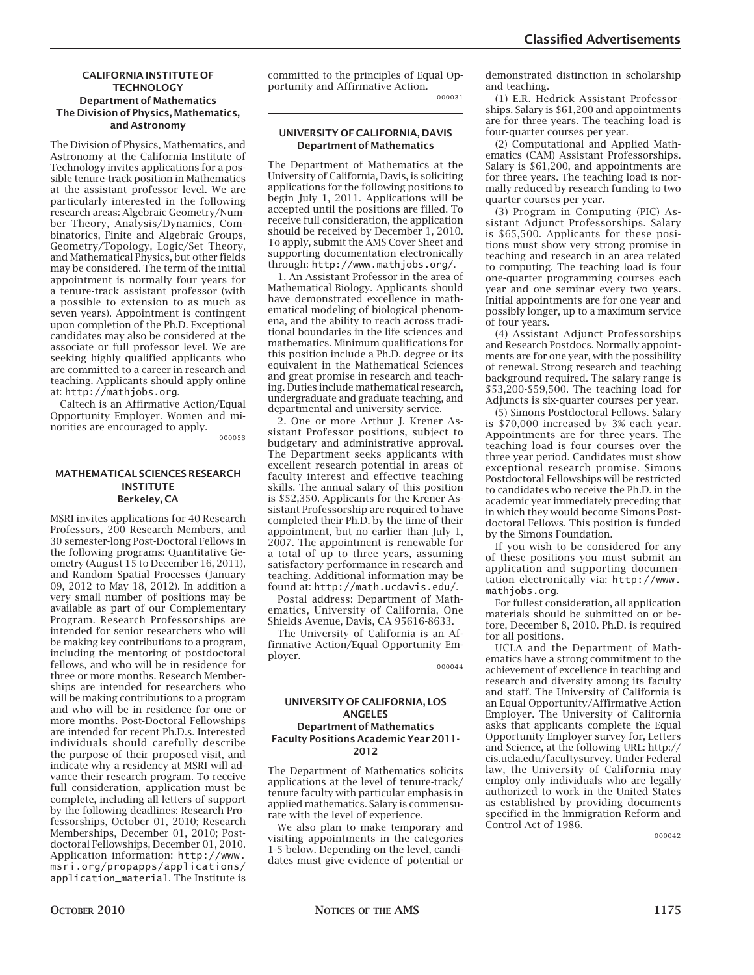#### **CALIFORNIA INSTITUTE OF TECHNOLOGY Department of Mathematics The Division of Physics, Mathematics, and Astronomy**

The Division of Physics, Mathematics, and Astronomy at the California Institute of Technology invites applications for a possible tenure-track position in Mathematics at the assistant professor level. We are particularly interested in the following research areas: Algebraic Geometry/Number Theory, Analysis/Dynamics, Combinatorics, Finite and Algebraic Groups, Geometry/Topology, Logic/Set Theory, and Mathematical Physics, but other fields may be considered. The term of the initial appointment is normally four years for a tenure-track assistant professor (with a possible to extension to as much as seven years). Appointment is contingent upon completion of the Ph.D. Exceptional candidates may also be considered at the associate or full professor level. We are seeking highly qualified applicants who are committed to a career in research and teaching. Applicants should apply online at: http://mathjobs.org.

Caltech is an Affirmative Action/Equal Opportunity Employer. Women and minorities are encouraged to apply.

000053

#### **MATHEMATICAL SCIENCES RESEARCH INSTITUTE Berkeley, CA**

MSRI invites applications for 40 Research Professors, 200 Research Members, and 30 semester-long Post-Doctoral Fellows in the following programs: Quantitative Geometry (August 15 to December 16, 2011), and Random Spatial Processes (January 09, 2012 to May 18, 2012). In addition a very small number of positions may be available as part of our Complementary Program. Research Professorships are intended for senior researchers who will be making key contributions to a program, including the mentoring of postdoctoral fellows, and who will be in residence for three or more months. Research Memberships are intended for researchers who will be making contributions to a program and who will be in residence for one or more months. Post-Doctoral Fellowships are intended for recent Ph.D.s. Interested individuals should carefully describe the purpose of their proposed visit, and indicate why a residency at MSRI will advance their research program. To receive full consideration, application must be complete, including all letters of support by the following deadlines: Research Professorships, October 01, 2010; Research Memberships, December 01, 2010; Postdoctoral Fellowships, December 01, 2010. Application information: http://www. msri.org/propapps/applications/ application\_material. The Institute is

committed to the principles of Equal Opportunity and Affirmative Action. 000031

#### **UNIVERSITY OF CALIFORNIA, DAVIS Department of Mathematics**

The Department of Mathematics at the University of California, Davis, is soliciting applications for the following positions to begin July 1, 2011. Applications will be accepted until the positions are filled. To receive full consideration, the application should be received by December 1, 2010. To apply, submit the AMS Cover Sheet and supporting documentation electronically through: http://www.mathjobs.org/.

1. An Assistant Professor in the area of Mathematical Biology. Applicants should have demonstrated excellence in mathematical modeling of biological phenomena, and the ability to reach across traditional boundaries in the life sciences and mathematics. Minimum qualifications for this position include a Ph.D. degree or its equivalent in the Mathematical Sciences and great promise in research and teaching. Duties include mathematical research, undergraduate and graduate teaching, and departmental and university service.

2. One or more Arthur J. Krener Assistant Professor positions, subject to budgetary and administrative approval. The Department seeks applicants with excellent research potential in areas of faculty interest and effective teaching skills. The annual salary of this position is \$52,350. Applicants for the Krener Assistant Professorship are required to have completed their Ph.D. by the time of their appointment, but no earlier than July 1, 2007. The appointment is renewable for a total of up to three years, assuming satisfactory performance in research and teaching. Additional information may be found at: http://math.ucdavis.edu/.

Postal address: Department of Mathematics, University of California, One Shields Avenue, Davis, CA 95616-8633.

The University of California is an Affirmative Action/Equal Opportunity Employer.

000044

#### **UNIVERSITY OF CALIFORNIA, LOS ANGELES Department of Mathematics Faculty Positions Academic Year 2011- 2012**

The Department of Mathematics solicits applications at the level of tenure-track/ tenure faculty with particular emphasis in applied mathematics. Salary is commensurate with the level of experience.

We also plan to make temporary and visiting appointments in the categories 1-5 below. Depending on the level, candidates must give evidence of potential or

demonstrated distinction in scholarship and teaching.

(1) E.R. Hedrick Assistant Professorships. Salary is \$61,200 and appointments are for three years. The teaching load is four-quarter courses per year.

(2) Computational and Applied Mathematics (CAM) Assistant Professorships. Salary is \$61,200, and appointments are for three years. The teaching load is normally reduced by research funding to two quarter courses per year.

(3) Program in Computing (PIC) Assistant Adjunct Professorships. Salary is \$65,500. Applicants for these positions must show very strong promise in teaching and research in an area related to computing. The teaching load is four one-quarter programming courses each year and one seminar every two years. Initial appointments are for one year and possibly longer, up to a maximum service of four years.

(4) Assistant Adjunct Professorships and Research Postdocs. Normally appointments are for one year, with the possibility of renewal. Strong research and teaching background required. The salary range is \$53,200-\$59,500. The teaching load for Adjuncts is six-quarter courses per year.

(5) Simons Postdoctoral Fellows. Salary is \$70,000 increased by 3% each year. Appointments are for three years. The teaching load is four courses over the three year period. Candidates must show exceptional research promise. Simons Postdoctoral Fellowships will be restricted to candidates who receive the Ph.D. in the academic year immediately preceding that in which they would become Simons Postdoctoral Fellows. This position is funded by the Simons Foundation.

If you wish to be considered for any of these positions you must submit an application and supporting documentation electronically via: http://www. mathjobs.org.

For fullest consideration, all application materials should be submitted on or before, December 8, 2010. Ph.D. is required for all positions.

UCLA and the Department of Mathematics have a strong commitment to the achievement of excellence in teaching and research and diversity among its faculty and staff. The University of California is an Equal Opportunity/Affirmative Action Employer. The University of California asks that applicants complete the Equal Opportunity Employer survey for, Letters and Science, at the following URL: http:// cis.ucla.edu/facultysurvey. Under Federal law, the University of California may employ only individuals who are legally authorized to work in the United States as established by providing documents specified in the Immigration Reform and Control Act of 1986.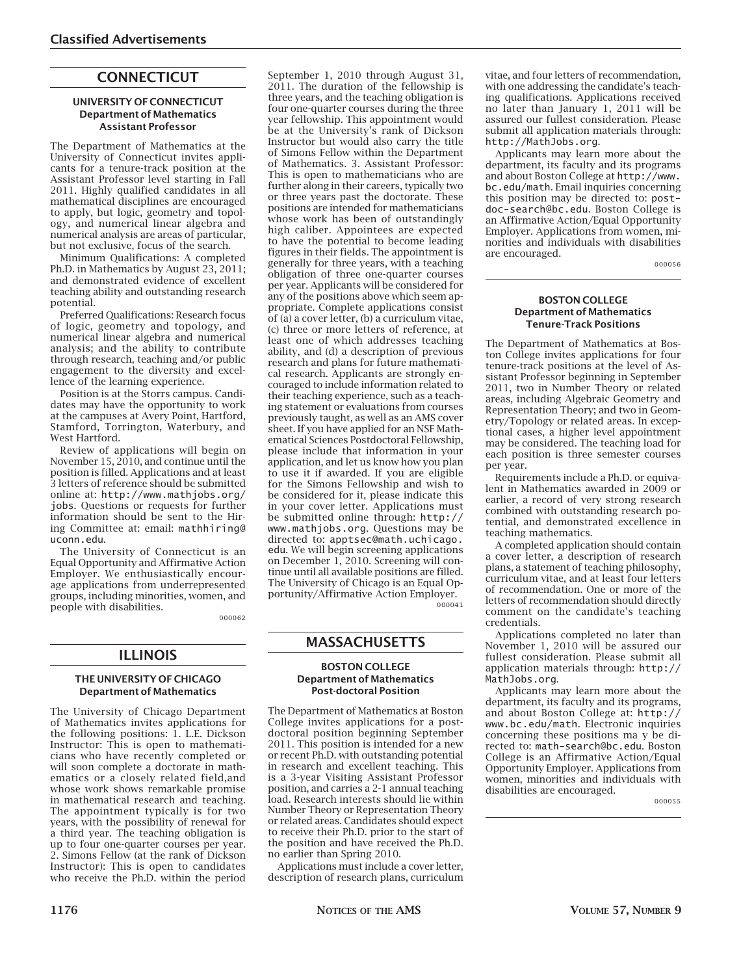# **CONNECTICUT**

#### **UNIVERSITY OF CONNECTICUT Department of Mathematics Assistant Professor**

The Department of Mathematics at the University of Connecticut invites applicants for a tenure-track position at the Assistant Professor level starting in Fall 2011. Highly qualified candidates in all mathematical disciplines are encouraged to apply, but logic, geometry and topology, and numerical linear algebra and numerical analysis are areas of particular, but not exclusive, focus of the search.

Minimum Qualifications: A completed Ph.D. in Mathematics by August 23, 2011; and demonstrated evidence of excellent teaching ability and outstanding research potential.

Preferred Qualifications: Research focus of logic, geometry and topology, and numerical linear algebra and numerical analysis; and the ability to contribute through research, teaching and/or public engagement to the diversity and excellence of the learning experience.

Position is at the Storrs campus. Candidates may have the opportunity to work at the campuses at Avery Point, Hartford, Stamford, Torrington, Waterbury, and West Hartford.

Review of applications will begin on November 15, 2010, and continue until the position is filled. Applications and at least 3 letters of reference should be submitted online at: http://www.mathjobs.org/ jobs. Questions or requests for further information should be sent to the Hiring Committee at: email: mathhiring@ uconn.edu.

The University of Connecticut is an Equal Opportunity and Affirmative Action Employer. We enthusiastically encourage applications from underrepresented groups, including minorities, women, and people with disabilities.

000062

### **ILLINOIS**

#### **THE UNIVERSITY OF CHICAGO Department of Mathematics**

The University of Chicago Department of Mathematics invites applications for the following positions: 1. L.E. Dickson Instructor: This is open to mathematicians who have recently completed or will soon complete a doctorate in mathematics or a closely related field,and whose work shows remarkable promise in mathematical research and teaching. The appointment typically is for two years, with the possibility of renewal for a third year. The teaching obligation is up to four one-quarter courses per year. 2. Simons Fellow (at the rank of Dickson Instructor): This is open to candidates who receive the Ph.D. within the period

September 1, 2010 through August 31, 2011. The duration of the fellowship is three years, and the teaching obligation is four one-quarter courses during the three year fellowship. This appointment would be at the University's rank of Dickson Instructor but would also carry the title of Simons Fellow within the Department of Mathematics. 3. Assistant Professor: This is open to mathematicians who are further along in their careers, typically two or three years past the doctorate. These positions are intended for mathematicians whose work has been of outstandingly high caliber. Appointees are expected to have the potential to become leading figures in their fields. The appointment is generally for three years, with a teaching obligation of three one-quarter courses per year. Applicants will be considered for any of the positions above which seem appropriate. Complete applications consist of (a) a cover letter, (b) a curriculum vitae, (c) three or more letters of reference, at least one of which addresses teaching ability, and (d) a description of previous research and plans for future mathematical research. Applicants are strongly encouraged to include information related to their teaching experience, such as a teaching statement or evaluations from courses previously taught, as well as an AMS cover sheet. If you have applied for an NSF Mathematical Sciences Postdoctoral Fellowship, please include that information in your application, and let us know how you plan to use it if awarded. If you are eligible for the Simons Fellowship and wish to be considered for it, please indicate this in your cover letter. Applications must be submitted online through: http:// www.mathjobs.org. Questions may be directed to: apptsec@math.uchicago. edu. We will begin screening applications on December 1, 2010. Screening will continue until all available positions are filled. The University of Chicago is an Equal Opportunity/Affirmative Action Employer. 000041

**MASSACHUSETTS**

#### **BOSTON COLLEGE Department of Mathematics Post-doctoral Position**

The Department of Mathematics at Boston College invites applications for a postdoctoral position beginning September 2011. This position is intended for a new or recent Ph.D. with outstanding potential in research and excellent teaching. This is a 3-year Visiting Assistant Professor position, and carries a 2-1 annual teaching load. Research interests should lie within Number Theory or Representation Theory or related areas. Candidates should expect to receive their Ph.D. prior to the start of the position and have received the Ph.D. no earlier than Spring 2010.

Applications must include a cover letter, description of research plans, curriculum vitae, and four letters of recommendation, with one addressing the candidate's teaching qualifications. Applications received no later than January 1, 2011 will be assured our fullest consideration. Please submit all application materials through: http://MathJobs.org.

Applicants may learn more about the department, its faculty and its programs and about Boston College at http://www. bc.edu/math. Email inquiries concerning this position may be directed to: postdoc-search@bc.edu. Boston College is an Affirmative Action/Equal Opportunity Employer. Applications from women, minorities and individuals with disabilities are encouraged.

000056

#### **BOSTON COLLEGE Department of Mathematics Tenure-Track Positions**

The Department of Mathematics at Boston College invites applications for four tenure-track positions at the level of Assistant Professor beginning in September 2011, two in Number Theory or related areas, including Algebraic Geometry and Representation Theory; and two in Geometry/Topology or related areas. In exceptional cases, a higher level appointment may be considered. The teaching load for each position is three semester courses per year.

Requirements include a Ph.D. or equivalent in Mathematics awarded in 2009 or earlier, a record of very strong research combined with outstanding research potential, and demonstrated excellence in teaching mathematics.

A completed application should contain a cover letter, a description of research plans, a statement of teaching philosophy, curriculum vitae, and at least four letters of recommendation. One or more of the letters of recommendation should directly comment on the candidate's teaching credentials.

Applications completed no later than November 1, 2010 will be assured our fullest consideration. Please submit all application materials through: http:// MathJobs.org.

Applicants may learn more about the department, its faculty and its programs, and about Boston College at: http:// www.bc.edu/math. Electronic inquiries concerning these positions ma y be directed to: math-search@bc.edu. Boston College is an Affirmative Action/Equal Opportunity Employer. Applications from women, minorities and individuals with disabilities are encouraged.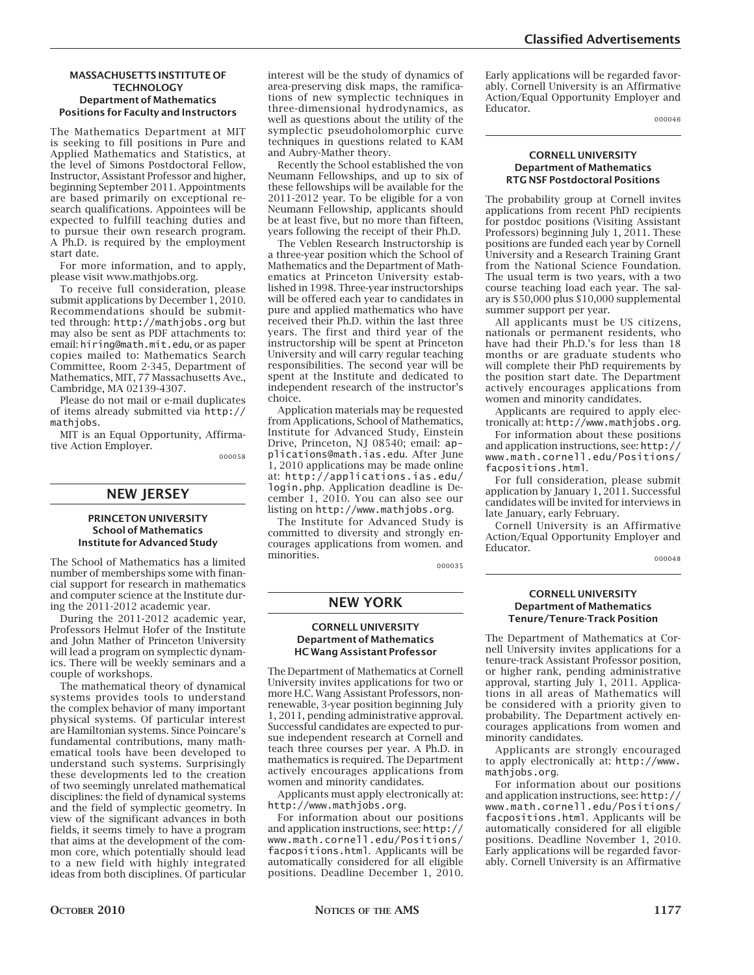#### **MASSACHUSETTS INSTITUTE OF TECHNOLOGY Department of Mathematics Positions for Faculty and Instructors**

The Mathematics Department at MIT is seeking to fill positions in Pure and Applied Mathematics and Statistics, at the level of Simons Postdoctoral Fellow, Instructor, Assistant Professor and higher, beginning September 2011. Appointments are based primarily on exceptional research qualifications. Appointees will be expected to fulfill teaching duties and to pursue their own research program. A Ph.D. is required by the employment start date.

For more information, and to apply, please visit www.mathjobs.org.

To receive full consideration, please submit applications by December 1, 2010. Recommendations should be submitted through: http://mathjobs.org but may also be sent as PDF attachments to: email: hiring@math.mit.edu, or as paper copies mailed to: Mathematics Search Committee, Room 2-345, Department of Mathematics, MIT, 77 Massachusetts Ave., Cambridge, MA 02139-4307.

Please do not mail or e-mail duplicates of items already submitted via http:// mathjobs.

MIT is an Equal Opportunity, Affirmative Action Employer.

000058

### **NEW JERSEY**

#### **PRINCETON UNIVERSITY School of Mathematics Institute for Advanced Study**

The School of Mathematics has a limited number of memberships some with financial support for research in mathematics and computer science at the Institute during the 2011-2012 academic year.

During the 2011-2012 academic year, Professors Helmut Hofer of the Institute and John Mather of Princeton University will lead a program on symplectic dynamics. There will be weekly seminars and a couple of workshops.

The mathematical theory of dynamical systems provides tools to understand the complex behavior of many important physical systems. Of particular interest are Hamiltonian systems. Since Poincare's fundamental contributions, many mathematical tools have been developed to understand such systems. Surprisingly these developments led to the creation of two seemingly unrelated mathematical disciplines: the field of dynamical systems and the field of symplectic geometry. In view of the significant advances in both fields, it seems timely to have a program that aims at the development of the common core, which potentially should lead to a new field with highly integrated ideas from both disciplines. Of particular

interest will be the study of dynamics of area-preserving disk maps, the ramifications of new symplectic techniques in three-dimensional hydrodynamics, as well as questions about the utility of the symplectic pseudoholomorphic curve techniques in questions related to KAM and Aubry-Mather theory.

Recently the School established the von Neumann Fellowships, and up to six of these fellowships will be available for the 2011-2012 year. To be eligible for a von Neumann Fellowship, applicants should be at least five, but no more than fifteen, years following the receipt of their Ph.D.

The Veblen Research Instructorship is a three-year position which the School of Mathematics and the Department of Mathematics at Princeton University established in 1998. Three-year instructorships will be offered each year to candidates in pure and applied mathematics who have received their Ph.D. within the last three years. The first and third year of the instructorship will be spent at Princeton University and will carry regular teaching responsibilities. The second year will be spent at the Institute and dedicated to independent research of the instructor's choice.

Application materials may be requested from Applications, School of Mathematics, Institute for Advanced Study, Einstein Drive, Princeton, NJ 08540; email: applications@math.ias.edu. After June 1, 2010 applications may be made online at: http://applications.ias.edu/ login.php. Application deadline is December 1, 2010. You can also see our listing on http://www.mathjobs.org.

The Institute for Advanced Study is committed to diversity and strongly encourages applications from women. and minorities.

000035

### **NEW YORK**

#### **CORNELL UNIVERSITY Department of Mathematics HC Wang Assistant Professor**

The Department of Mathematics at Cornell University invites applications for two or more H.C. Wang Assistant Professors, nonrenewable, 3-year position beginning July 1, 2011, pending administrative approval. Successful candidates are expected to pursue independent research at Cornell and teach three courses per year. A Ph.D. in mathematics is required. The Department actively encourages applications from women and minority candidates.

Applicants must apply electronically at: http://www.mathjobs.org.

For information about our positions and application instructions, see: http:// www.math.cornell.edu/Positions/ facpositions.html. Applicants will be automatically considered for all eligible positions. Deadline December 1, 2010. Early applications will be regarded favorably. Cornell University is an Affirmative Action/Equal Opportunity Employer and Educator.

000046

#### **CORNELL UNIVERSITY Department of Mathematics RTG NSF Postdoctoral Positions**

The probability group at Cornell invites applications from recent PhD recipients for postdoc positions (Visiting Assistant Professors) beginning July 1, 2011. These positions are funded each year by Cornell University and a Research Training Grant from the National Science Foundation. The usual term is two years, with a two course teaching load each year. The salary is \$50,000 plus \$10,000 supplemental summer support per year.

All applicants must be US citizens, nationals or permanent residents, who have had their Ph.D.'s for less than 18 months or are graduate students who will complete their PhD requirements by the position start date. The Department actively encourages applications from women and minority candidates.

Applicants are required to apply electronically at: http://www.mathjobs.org.

For information about these positions and application instructions, see: http:// www.math.cornell.edu/Positions/ facpositions.html.

For full consideration, please submit application by January 1, 2011. Successful candidates will be invited for interviews in late January, early February.

Cornell University is an Affirmative Action/Equal Opportunity Employer and Educator.

000048

#### **CORNELL UNIVERSITY Department of Mathematics Tenure/Tenure-Track Position**

The Department of Mathematics at Cornell University invites applications for a tenure-track Assistant Professor position, or higher rank, pending administrative approval, starting July 1, 2011. Applications in all areas of Mathematics will be considered with a priority given to probability. The Department actively encourages applications from women and minority candidates.

Applicants are strongly encouraged to apply electronically at: http://www. mathjobs.org.

For information about our positions and application instructions, see: http:// www.math.cornell.edu/Positions/ facpositions.html. Applicants will be automatically considered for all eligible positions. Deadline November 1, 2010. Early applications will be regarded favorably. Cornell University is an Affirmative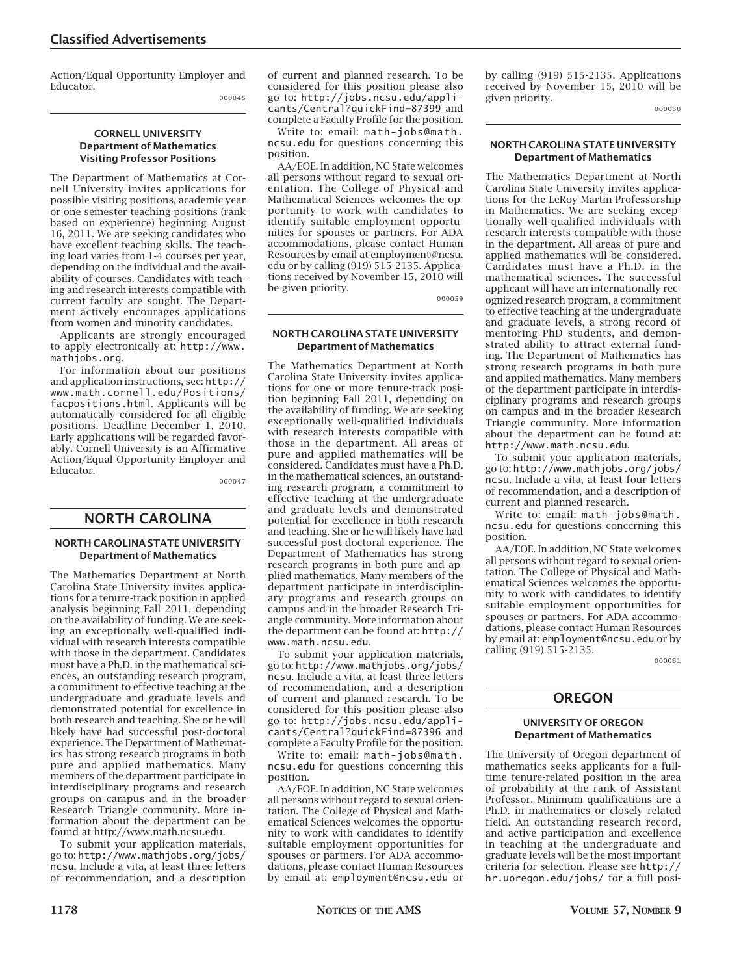Action/Equal Opportunity Employer and Educator.

#### 000045

#### **CORNELL UNIVERSITY Department of Mathematics Visiting Professor Positions**

The Department of Mathematics at Cornell University invites applications for possible visiting positions, academic year or one semester teaching positions (rank based on experience) beginning August 16, 2011. We are seeking candidates who have excellent teaching skills. The teaching load varies from 1-4 courses per year, depending on the individual and the availability of courses. Candidates with teaching and research interests compatible with current faculty are sought. The Department actively encourages applications from women and minority candidates.

Applicants are strongly encouraged to apply electronically at: http://www. mathjobs.org.

For information about our positions and application instructions, see: http:// www.math.cornell.edu/Positions/ facpositions.html. Applicants will be automatically considered for all eligible positions. Deadline December 1, 2010. Early applications will be regarded favorably. Cornell University is an Affirmative Action/Equal Opportunity Employer and Educator.

000047

# **NORTH CAROLINA**

#### **NORTH CAROLINA STATE UNIVERSITY Department of Mathematics**

The Mathematics Department at North Carolina State University invites applications for a tenure-track position in applied analysis beginning Fall 2011, depending on the availability of funding. We are seeking an exceptionally well-qualified individual with research interests compatible with those in the department. Candidates must have a Ph.D. in the mathematical sciences, an outstanding research program, a commitment to effective teaching at the undergraduate and graduate levels and demonstrated potential for excellence in both research and teaching. She or he will likely have had successful post-doctoral experience. The Department of Mathematics has strong research programs in both pure and applied mathematics. Many members of the department participate in interdisciplinary programs and research groups on campus and in the broader Research Triangle community. More information about the department can be found at http://www.math.ncsu.edu.

To submit your application materials, go to: http://www.mathjobs.org/jobs/ ncsu. Include a vita, at least three letters of recommendation, and a description of current and planned research. To be considered for this position please also go to: http://jobs.ncsu.edu/applicants/Central?quickFind=87399 and complete a Faculty Profile for the position.

Write to: email: math-jobs@math. ncsu.edu for questions concerning this position.

AA/EOE. In addition, NC State welcomes all persons without regard to sexual orientation. The College of Physical and Mathematical Sciences welcomes the opportunity to work with candidates to identify suitable employment opportunities for spouses or partners. For ADA accommodations, please contact Human Resources by email at employment@ncsu. edu or by calling (919) 515-2135. Applications received by November 15, 2010 will be given priority.

000059

#### **NORTH CAROLINA STATE UNIVERSITY Department of Mathematics**

The Mathematics Department at North Carolina State University invites applications for one or more tenure-track position beginning Fall 2011, depending on the availability of funding. We are seeking exceptionally well-qualified individuals with research interests compatible with those in the department. All areas of pure and applied mathematics will be considered. Candidates must have a Ph.D. in the mathematical sciences, an outstanding research program, a commitment to effective teaching at the undergraduate and graduate levels and demonstrated potential for excellence in both research and teaching. She or he will likely have had successful post-doctoral experience. The Department of Mathematics has strong research programs in both pure and applied mathematics. Many members of the department participate in interdisciplinary programs and research groups on campus and in the broader Research Triangle community. More information about the department can be found at: http:// www.math.ncsu.edu.

To submit your application materials, go to: http://www.mathjobs.org/jobs/ ncsu. Include a vita, at least three letters of recommendation, and a description of current and planned research. To be considered for this position please also go to: http://jobs.ncsu.edu/applicants/Central?quickFind=87396 and complete a Faculty Profile for the position.

Write to: email: math-jobs@math. ncsu.edu for questions concerning this position.

AA/EOE. In addition, NC State welcomes all persons without regard to sexual orientation. The College of Physical and Mathematical Sciences welcomes the opportunity to work with candidates to identify suitable employment opportunities for spouses or partners. For ADA accommodations, please contact Human Resources by email at: employment@ncsu.edu or by calling (919) 515-2135. Applications received by November 15, 2010 will be given priority.

000060

#### **NORTH CAROLINA STATE UNIVERSITY Department of Mathematics**

The Mathematics Department at North Carolina State University invites applications for the LeRoy Martin Professorship in Mathematics. We are seeking exceptionally well-qualified individuals with research interests compatible with those in the department. All areas of pure and applied mathematics will be considered. Candidates must have a Ph.D. in the mathematical sciences. The successful applicant will have an internationally recognized research program, a commitment to effective teaching at the undergraduate and graduate levels, a strong record of mentoring PhD students, and demonstrated ability to attract external funding. The Department of Mathematics has strong research programs in both pure and applied mathematics. Many members of the department participate in interdisciplinary programs and research groups on campus and in the broader Research Triangle community. More information about the department can be found at: http://www.math.ncsu.edu.

To submit your application materials, go to: http://www.mathjobs.org/jobs/ ncsu. Include a vita, at least four letters of recommendation, and a description of current and planned research.

Write to: email: math-jobs@math. ncsu.edu for questions concerning this position.

AA/EOE. In addition, NC State welcomes all persons without regard to sexual orientation. The College of Physical and Mathematical Sciences welcomes the opportunity to work with candidates to identify suitable employment opportunities for spouses or partners. For ADA accommodations, please contact Human Resources by email at: employment@ncsu.edu or by calling (919) 515-2135.

000061

# **OREGON**

#### **UNIVERSITY OF OREGON Department of Mathematics**

The University of Oregon department of mathematics seeks applicants for a fulltime tenure-related position in the area of probability at the rank of Assistant Professor. Minimum qualifications are a Ph.D. in mathematics or closely related field. An outstanding research record, and active participation and excellence in teaching at the undergraduate and graduate levels will be the most important criteria for selection. Please see http:// hr.uoregon.edu/jobs/ for a full posi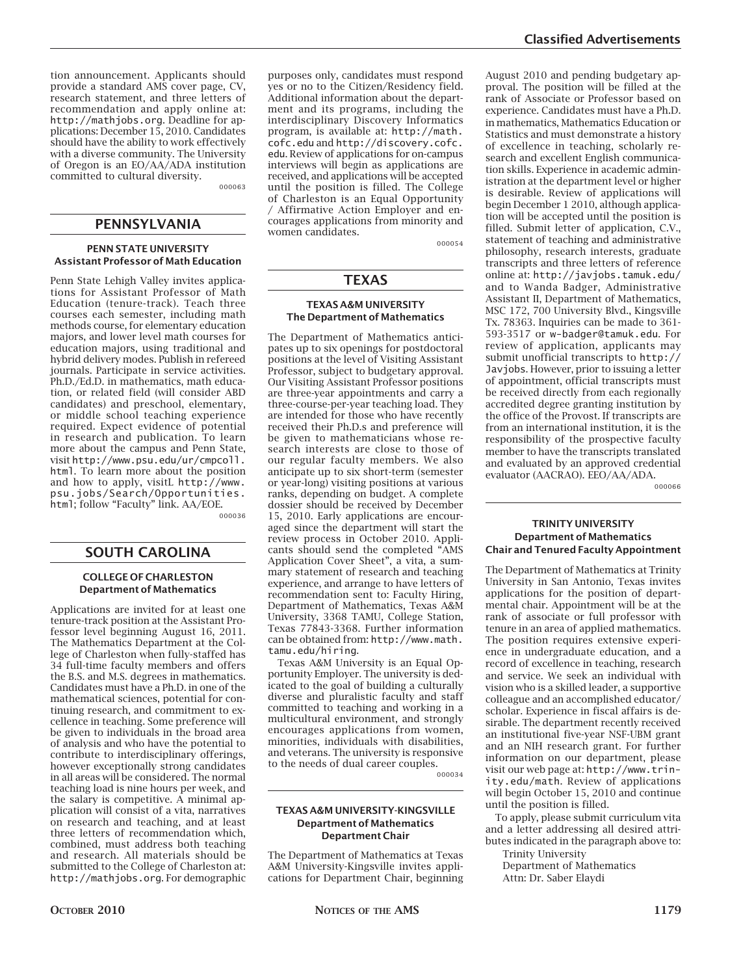tion announcement. Applicants should provide a standard AMS cover page, CV, research statement, and three letters of recommendation and apply online at: http://mathjobs.org. Deadline for applications: December 15, 2010. Candidates should have the ability to work effectively with a diverse community. The University of Oregon is an EO/AA/ADA institution committed to cultural diversity.

000063

# **PENNSYLVANIA**

#### **PENN STATE UNIVERSITY Assistant Professor of Math Education**

Penn State Lehigh Valley invites applications for Assistant Professor of Math Education (tenure-track). Teach three courses each semester, including math methods course, for elementary education majors, and lower level math courses for education majors, using traditional and hybrid delivery modes. Publish in refereed journals. Participate in service activities. Ph.D./Ed.D. in mathematics, math education, or related field (will consider ABD candidates) and preschool, elementary, or middle school teaching experience required. Expect evidence of potential in research and publication. To learn more about the campus and Penn State, visit http://www.psu.edu/ur/cmpcoll. html. To learn more about the position and how to apply, visitL http://www. psu.jobs/Search/Opportunities. html; follow "Faculty" link. AA/EOE.

000036

### **SOUTH CAROLINA**

#### **COLLEGE OF CHARLESTON Department of Mathematics**

Applications are invited for at least one tenure-track position at the Assistant Professor level beginning August 16, 2011. The Mathematics Department at the College of Charleston when fully-staffed has 34 full-time faculty members and offers the B.S. and M.S. degrees in mathematics. Candidates must have a Ph.D. in one of the mathematical sciences, potential for continuing research, and commitment to excellence in teaching. Some preference will be given to individuals in the broad area of analysis and who have the potential to contribute to interdisciplinary offerings, however exceptionally strong candidates in all areas will be considered. The normal teaching load is nine hours per week, and the salary is competitive. A minimal application will consist of a vita, narratives on research and teaching, and at least three letters of recommendation which, combined, must address both teaching and research. All materials should be submitted to the College of Charleston at: http://mathjobs.org. For demographic purposes only, candidates must respond yes or no to the Citizen/Residency field. Additional information about the department and its programs, including the interdisciplinary Discovery Informatics program, is available at: http://math. cofc.edu and http://discovery.cofc. edu. Review of applications for on-campus interviews will begin as applications are received, and applications will be accepted until the position is filled. The College of Charleston is an Equal Opportunity / Affirmative Action Employer and encourages applications from minority and women candidates.

000054

# **TEXAS**

#### **TEXAS A&M UNIVERSITY The Department of Mathematics**

The Department of Mathematics anticipates up to six openings for postdoctoral positions at the level of Visiting Assistant Professor, subject to budgetary approval. Our Visiting Assistant Professor positions are three-year appointments and carry a three-course-per-year teaching load. They are intended for those who have recently received their Ph.D.s and preference will be given to mathematicians whose research interests are close to those of our regular faculty members. We also anticipate up to six short-term (semester or year-long) visiting positions at various ranks, depending on budget. A complete dossier should be received by December 15, 2010. Early applications are encouraged since the department will start the review process in October 2010. Applicants should send the completed "AMS Application Cover Sheet", a vita, a summary statement of research and teaching experience, and arrange to have letters of recommendation sent to: Faculty Hiring, Department of Mathematics, Texas A&M University, 3368 TAMU, College Station, Texas 77843-3368. Further information can be obtained from: http://www.math. tamu.edu/hiring.

Texas A&M University is an Equal Opportunity Employer. The university is dedicated to the goal of building a culturally diverse and pluralistic faculty and staff committed to teaching and working in a multicultural environment, and strongly encourages applications from women, minorities, individuals with disabilities, and veterans. The university is responsive to the needs of dual career couples.

000034

#### **TEXAS A&M UNIVERSITY-KINGSVILLE Department of Mathematics Department Chair**

The Department of Mathematics at Texas A&M University-Kingsville invites applications for Department Chair, beginning August 2010 and pending budgetary approval. The position will be filled at the rank of Associate or Professor based on experience. Candidates must have a Ph.D. in mathematics, Mathematics Education or Statistics and must demonstrate a history of excellence in teaching, scholarly research and excellent English communication skills. Experience in academic administration at the department level or higher is desirable. Review of applications will begin December 1 2010, although application will be accepted until the position is filled. Submit letter of application, C.V., statement of teaching and administrative philosophy, research interests, graduate transcripts and three letters of reference online at: http://javjobs.tamuk.edu/ and to Wanda Badger, Administrative Assistant II, Department of Mathematics, MSC 172, 700 University Blvd., Kingsville Tx. 78363. Inquiries can be made to 361- 593-3517 or w-badger@tamuk.edu. For review of application, applicants may submit unofficial transcripts to http:// Javjobs. However, prior to issuing a letter of appointment, official transcripts must be received directly from each regionally accredited degree granting institution by the office of the Provost. If transcripts are from an international institution, it is the responsibility of the prospective faculty member to have the transcripts translated and evaluated by an approved credential evaluator (AACRAO). EEO/AA/ADA.

000066

#### **TRINITY UNIVERSITY Department of Mathematics Chair and Tenured Faculty Appointment**

The Department of Mathematics at Trinity University in San Antonio, Texas invites applications for the position of departmental chair. Appointment will be at the rank of associate or full professor with tenure in an area of applied mathematics. The position requires extensive experience in undergraduate education, and a record of excellence in teaching, research and service. We seek an individual with vision who is a skilled leader, a supportive colleague and an accomplished educator/ scholar. Experience in fiscal affairs is desirable. The department recently received an institutional five-year NSF-UBM grant and an NIH research grant. For further information on our department, please visit our web page at: http://www.trinity.edu/math. Review of applications will begin October 15, 2010 and continue until the position is filled.

To apply, please submit curriculum vita and a letter addressing all desired attributes indicated in the paragraph above to:

Trinity University

Department of Mathematics Attn: Dr. Saber Elaydi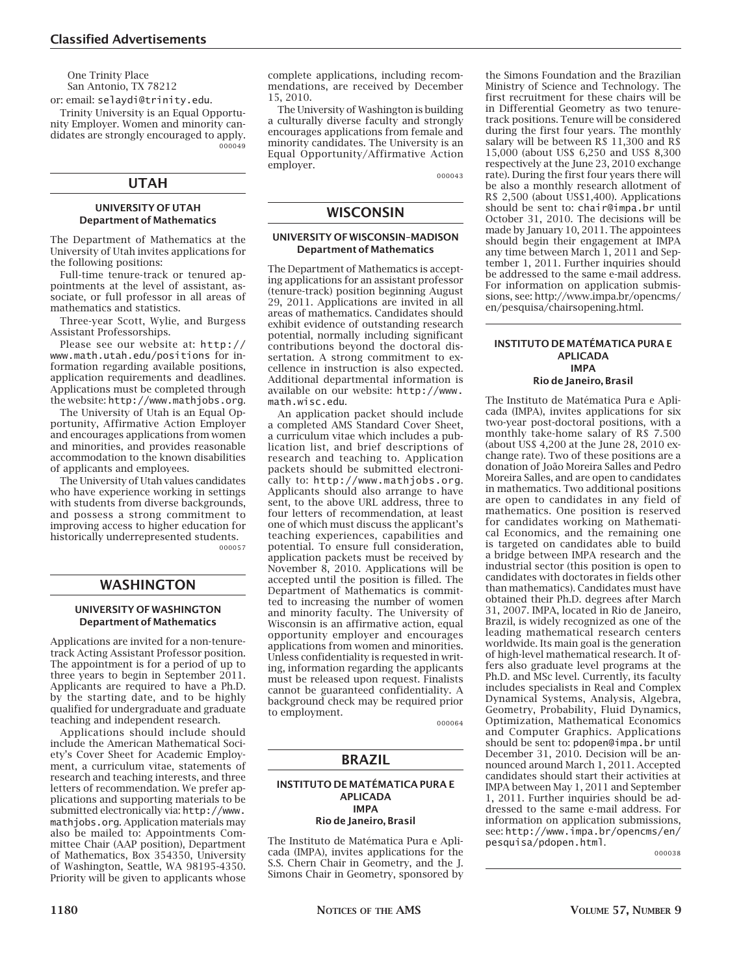One Trinity Place San Antonio, TX 78212

or: email: selaydi@trinity.edu. Trinity University is an Equal Opportunity Employer. Women and minority candidates are strongly encouraged to apply. 000049

# **UTAH**

#### **UNIVERSITY OF UTAH Department of Mathematics**

The Department of Mathematics at the University of Utah invites applications for the following positions:

Full-time tenure-track or tenured appointments at the level of assistant, associate, or full professor in all areas of mathematics and statistics.

Three-year Scott, Wylie, and Burgess Assistant Professorships.

Please see our website at: http:// www.math.utah.edu/positions for information regarding available positions, application requirements and deadlines. Applications must be completed through the website: http://www.mathjobs.org.

The University of Utah is an Equal Opportunity, Affirmative Action Employer and encourages applications from women and minorities, and provides reasonable accommodation to the known disabilities of applicants and employees.

The University of Utah values candidates who have experience working in settings with students from diverse backgrounds, and possess a strong commitment to improving access to higher education for historically underrepresented students. 000057

### **WASHINGTON**

#### **UNIVERSITY OF WASHINGTON Department of Mathematics**

Applications are invited for a non-tenuretrack Acting Assistant Professor position. The appointment is for a period of up to three years to begin in September 2011. Applicants are required to have a Ph.D. by the starting date, and to be highly qualified for undergraduate and graduate teaching and independent research.

Applications should include should include the American Mathematical Society's Cover Sheet for Academic Employment, a curriculum vitae, statements of research and teaching interests, and three letters of recommendation. We prefer applications and supporting materials to be submitted electronically via: http://www. mathjobs.org. Application materials may also be mailed to: Appointments Committee Chair (AAP position), Department of Mathematics, Box 354350, University of Washington, Seattle, WA 98195-4350. Priority will be given to applicants whose

complete applications, including recommendations, are received by December 15, 2010.

The University of Washington is building a culturally diverse faculty and strongly encourages applications from female and minority candidates. The University is an Equal Opportunity/Affirmative Action employer.

000043

# **WISCONSIN**

#### **UNIVERSITY OF WISCONSIN–MADISON Department of Mathematics**

The Department of Mathematics is accepting applications for an assistant professor (tenure-track) position beginning August 29, 2011. Applications are invited in all areas of mathematics. Candidates should exhibit evidence of outstanding research potential, normally including significant contributions beyond the doctoral dissertation. A strong commitment to excellence in instruction is also expected. Additional departmental information is available on our website: http://www. math.wisc.edu.

An application packet should include a completed AMS Standard Cover Sheet, a curriculum vitae which includes a publication list, and brief descriptions of research and teaching to. Application packets should be submitted electronically to: http://www.mathjobs.org. Applicants should also arrange to have sent, to the above URL address, three to four letters of recommendation, at least one of which must discuss the applicant's teaching experiences, capabilities and potential. To ensure full consideration, application packets must be received by November 8, 2010. Applications will be accepted until the position is filled. The Department of Mathematics is committed to increasing the number of women and minority faculty. The University of Wisconsin is an affirmative action, equal opportunity employer and encourages applications from women and minorities. Unless confidentiality is requested in writing, information regarding the applicants must be released upon request. Finalists cannot be guaranteed confidentiality. A background check may be required prior to employment.

000064

# **BRAZIL**

#### **INSTITUTO DE MATÉMATICA PURA E APLICADA IMPA**

**Rio de Janeiro, Brasil**

The Instituto de Matématica Pura e Aplicada (IMPA), invites applications for the S.S. Chern Chair in Geometry, and the J. Simons Chair in Geometry, sponsored by the Simons Foundation and the Brazilian Ministry of Science and Technology. The first recruitment for these chairs will be in Differential Geometry as two tenuretrack positions. Tenure will be considered during the first four years. The monthly salary will be between R\$ 11,300 and R\$ 15,000 (about US\$ 6,250 and US\$ 8,300 respectively at the June 23, 2010 exchange rate). During the first four years there will be also a monthly research allotment of R\$ 2,500 (about US\$1,400). Applications should be sent to: chair@impa.br until October 31, 2010. The decisions will be made by January 10, 2011. The appointees should begin their engagement at IMPA any time between March 1, 2011 and September 1, 2011. Further inquiries should be addressed to the same e-mail address. For information on application submissions, see: http://www.impa.br/opencms/ en/pesquisa/chairsopening.html.

#### **INSTITUTO DE MATÉMATICA PURA E APLICADA IMPA Rio de Janeiro, Brasil**

The Instituto de Matématica Pura e Aplicada (IMPA), invites applications for six two-year post-doctoral positions, with a monthly take-home salary of R\$ 7.500 (about US\$ 4,200 at the June 28, 2010 exchange rate). Two of these positions are a donation of João Moreira Salles and Pedro Moreira Salles, and are open to candidates in mathematics. Two additional positions are open to candidates in any field of mathematics. One position is reserved for candidates working on Mathematical Economics, and the remaining one is targeted on candidates able to build a bridge between IMPA research and the industrial sector (this position is open to candidates with doctorates in fields other than mathematics). Candidates must have obtained their Ph.D. degrees after March 31, 2007. IMPA, located in Rio de Janeiro, Brazil, is widely recognized as one of the leading mathematical research centers worldwide. Its main goal is the generation of high-level mathematical research. It offers also graduate level programs at the Ph.D. and MSc level. Currently, its faculty includes specialists in Real and Complex Dynamical Systems, Analysis, Algebra, Geometry, Probability, Fluid Dynamics, Optimization, Mathematical Economics and Computer Graphics. Applications should be sent to: pdopen@impa.br until December 31, 2010. Decision will be announced around March 1, 2011. Accepted candidates should start their activities at IMPA between May 1, 2011 and September 1, 2011. Further inquiries should be addressed to the same e-mail address. For information on application submissions, see: http://www.impa.br/opencms/en/ pesquisa/pdopen.html.